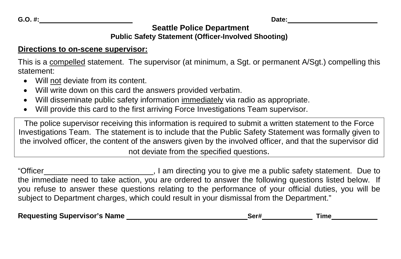**Seattle Police Department**

## **Public Safety Statement (Officer-Involved Shooting)**

## **Directions to on-scene supervisor:**

This is a compelled statement. The supervisor (at minimum, a Sgt. or permanent A/Sgt.) compelling this statement:

- Will not deviate from its content.
- Will write down on this card the answers provided verbatim.
- Will disseminate public safety information immediately via radio as appropriate.
- Will provide this card to the first arriving Force Investigations Team supervisor.

The police supervisor receiving this information is required to submit a written statement to the Force Investigations Team. The statement is to include that the Public Safety Statement was formally given to the involved officer, the content of the answers given by the involved officer, and that the supervisor did not deviate from the specified questions.

"Officer **Contains and Contains and Contains and Contains and Contains and Contains and Contains and Contains a** the immediate need to take action, you are ordered to answer the following questions listed below. If you refuse to answer these questions relating to the performance of your official duties, you will be subject to Department charges, which could result in your dismissal from the Department."

| <b>Requesting Supervisor's Name</b> |  | Ser# | ⊺im∈ |
|-------------------------------------|--|------|------|
|-------------------------------------|--|------|------|